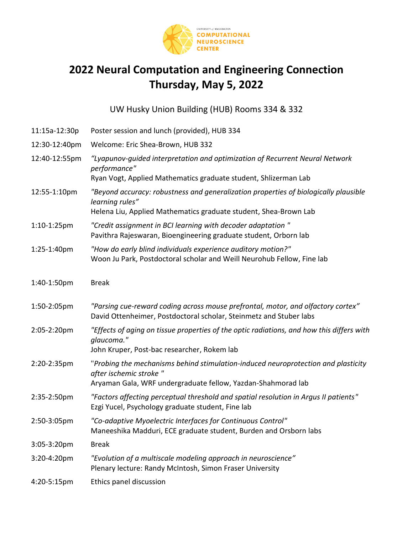

## **2022 Neural Computation and Engineering Connection Thursday, May 5, 2022**

UW Husky Union Building (HUB) Rooms 334 & 332

| 11:15a-12:30p | Poster session and lunch (provided), HUB 334                                                                                                                                |
|---------------|-----------------------------------------------------------------------------------------------------------------------------------------------------------------------------|
| 12:30-12:40pm | Welcome: Eric Shea-Brown, HUB 332                                                                                                                                           |
| 12:40-12:55pm | "Lyapunov-guided interpretation and optimization of Recurrent Neural Network<br>performance"                                                                                |
|               | Ryan Vogt, Applied Mathematics graduate student, Shlizerman Lab                                                                                                             |
| 12:55-1:10pm  | "Beyond accuracy: robustness and generalization properties of biologically plausible<br>learning rules"<br>Helena Liu, Applied Mathematics graduate student, Shea-Brown Lab |
|               |                                                                                                                                                                             |
| 1:10-1:25pm   | "Credit assignment in BCI learning with decoder adaptation"<br>Pavithra Rajeswaran, Bioengineering graduate student, Orborn lab                                             |
| 1:25-1:40pm   | "How do early blind individuals experience auditory motion?"<br>Woon Ju Park, Postdoctoral scholar and Weill Neurohub Fellow, Fine lab                                      |
| 1:40-1:50pm   | <b>Break</b>                                                                                                                                                                |
| 1:50-2:05pm   | "Parsing cue-reward coding across mouse prefrontal, motor, and olfactory cortex"<br>David Ottenheimer, Postdoctoral scholar, Steinmetz and Stuber labs                      |
| 2:05-2:20pm   | "Effects of aging on tissue properties of the optic radiations, and how this differs with<br>glaucoma."                                                                     |
|               | John Kruper, Post-bac researcher, Rokem lab                                                                                                                                 |
| 2:20-2:35pm   | "Probing the mechanisms behind stimulation-induced neuroprotection and plasticity<br>after ischemic stroke "                                                                |
|               | Aryaman Gala, WRF undergraduate fellow, Yazdan-Shahmorad lab                                                                                                                |
| 2:35-2:50pm   | "Factors affecting perceptual threshold and spatial resolution in Argus II patients"<br>Ezgi Yucel, Psychology graduate student, Fine lab                                   |
| 2:50-3:05pm   | "Co-adaptive Myoelectric Interfaces for Continuous Control"<br>Maneeshika Madduri, ECE graduate student, Burden and Orsborn labs                                            |
| 3:05-3:20pm   | <b>Break</b>                                                                                                                                                                |
| 3:20-4:20pm   | "Evolution of a multiscale modeling approach in neuroscience"<br>Plenary lecture: Randy McIntosh, Simon Fraser University                                                   |
| 4:20-5:15pm   | Ethics panel discussion                                                                                                                                                     |